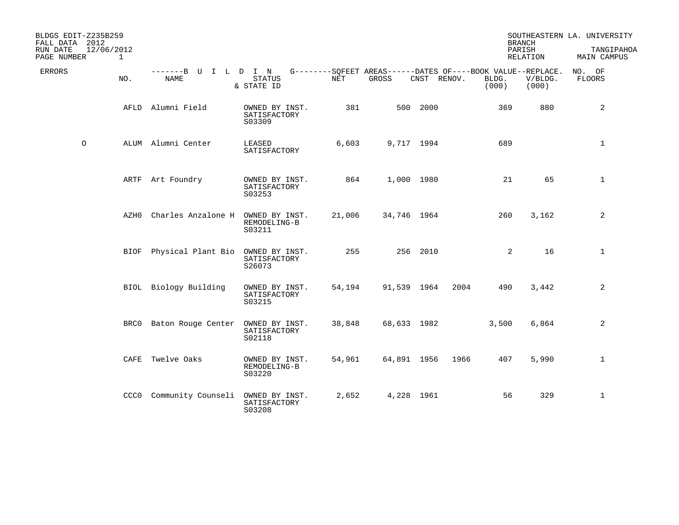| BLDGS EDIT-Z235B259<br>FALL DATA 2012<br>RUN DATE | 12/06/2012 |                                   |                                          |        |                                                                      |             |      |                | <b>BRANCH</b><br>PARISH | SOUTHEASTERN LA. UNIVERSITY<br>TANGIPAHOA |
|---------------------------------------------------|------------|-----------------------------------|------------------------------------------|--------|----------------------------------------------------------------------|-------------|------|----------------|-------------------------|-------------------------------------------|
| PAGE NUMBER                                       | 1          |                                   |                                          |        |                                                                      |             |      |                | RELATION                | MAIN CAMPUS                               |
| <b>ERRORS</b>                                     | NO.        | -------B U<br>NAME                | I L D I N<br><b>STATUS</b><br>& STATE ID | NET    | G--------SQFEET AREAS------DATES OF----BOOK VALUE--REPLACE.<br>GROSS | CNST RENOV. |      | BLDG.<br>(000) | V/BLDG.<br>(000)        | NO. OF<br>FLOORS                          |
|                                                   |            | AFLD Alumni Field                 | OWNED BY INST.<br>SATISFACTORY<br>S03309 | 381    |                                                                      | 500 2000    |      | 369            | 880                     | 2                                         |
| $\circ$                                           |            | ALUM Alumni Center                | LEASED<br>SATISFACTORY                   | 6,603  |                                                                      | 9,717 1994  |      | 689            |                         | $\mathbf{1}$                              |
|                                                   |            | ARTF Art Foundry                  | OWNED BY INST.<br>SATISFACTORY<br>S03253 | 864    |                                                                      | 1,000 1980  |      | 21             | 65                      | $\mathbf{1}$                              |
|                                                   | AZH0       | Charles Anzalone H                | OWNED BY INST.<br>REMODELING-B<br>S03211 | 21,006 | 34,746 1964                                                          |             |      | 260            | 3,162                   | 2                                         |
|                                                   | BIOF       | Physical Plant Bio OWNED BY INST. | SATISFACTORY<br>S26073                   | 255    |                                                                      | 256 2010    |      | 2              | 16                      | $\mathbf{1}$                              |
|                                                   |            | BIOL Biology Building             | OWNED BY INST.<br>SATISFACTORY<br>S03215 | 54,194 | 91,539 1964                                                          |             | 2004 | 490            | 3,442                   | 2                                         |
|                                                   |            | BRC0 Baton Rouge Center           | OWNED BY INST.<br>SATISFACTORY<br>S02118 | 38,848 | 68,633 1982                                                          |             |      | 3,500          | 6,864                   | $\overline{2}$                            |
|                                                   | CAFE       | Twelve Oaks                       | OWNED BY INST.<br>REMODELING-B<br>S03220 | 54,961 | 64,891 1956                                                          |             | 1966 | 407            | 5,990                   | $\mathbf{1}$                              |
|                                                   |            | CCCO Community Counseli           | OWNED BY INST.<br>SATISFACTORY<br>S03208 | 2,652  |                                                                      | 4,228 1961  |      | 56             | 329                     | $\mathbf{1}$                              |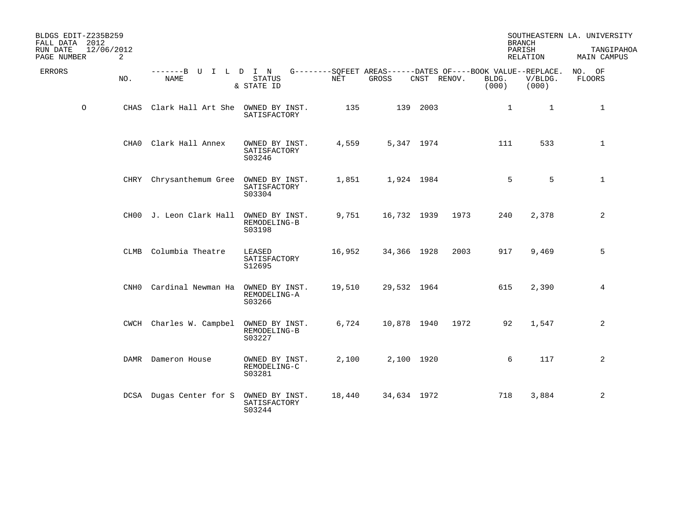| BLDGS EDIT-Z235B259<br>FALL DATA 2012<br>RUN DATE<br>12/06/2012<br>PAGE NUMBER | 2    |                                        |                                          |            |                                                                     |             |      |                | <b>BRANCH</b><br>PARISH<br>RELATION | SOUTHEASTERN LA. UNIVERSITY<br>TANGIPAHOA<br>MAIN CAMPUS |
|--------------------------------------------------------------------------------|------|----------------------------------------|------------------------------------------|------------|---------------------------------------------------------------------|-------------|------|----------------|-------------------------------------|----------------------------------------------------------|
| <b>ERRORS</b>                                                                  | NO.  | -------B U I L D I N<br><b>NAME</b>    | <b>STATUS</b><br>& STATE ID              | <b>NET</b> | $G------SOFEET AREAS------DATES OF---BOOK VALUE--REPLACE.$<br>GROSS | CNST RENOV. |      | BLDG.<br>(000) | V/BLDG.<br>(000)                    | NO. OF<br><b>FLOORS</b>                                  |
| $\circ$                                                                        |      | CHAS Clark Hall Art She OWNED BY INST. | SATISFACTORY                             | 135        |                                                                     | 139 2003    |      | $\mathbf{1}$   | $\mathbf{1}$                        | $\mathbf{1}$                                             |
|                                                                                | CHA0 | Clark Hall Annex                       | OWNED BY INST.<br>SATISFACTORY<br>S03246 | 4,559      | 5,347 1974                                                          |             |      | 111            | 533                                 | $\mathbf{1}$                                             |
|                                                                                |      | CHRY Chrysanthemum Gree OWNED BY INST. | SATISFACTORY<br>S03304                   | 1,851      | 1,924 1984                                                          |             |      | 5              | 5                                   | $\mathbf{1}$                                             |
|                                                                                |      | CHOO J. Leon Clark Hall                | OWNED BY INST.<br>REMODELING-B<br>S03198 | 9,751      | 16,732 1939                                                         |             | 1973 | 240            | 2,378                               | 2                                                        |
|                                                                                | CLMB | Columbia Theatre                       | LEASED<br>SATISFACTORY<br>S12695         | 16,952     | 34,366 1928                                                         |             | 2003 | 917            | 9,469                               | 5                                                        |
|                                                                                | CNH0 | Cardinal Newman Ha                     | OWNED BY INST.<br>REMODELING-A<br>S03266 | 19,510     | 29,532 1964                                                         |             |      | 615            | 2,390                               | 4                                                        |
|                                                                                |      | CWCH Charles W. Campbel                | OWNED BY INST.<br>REMODELING-B<br>S03227 | 6,724      | 10,878 1940                                                         |             | 1972 | 92             | 1,547                               | 2                                                        |
|                                                                                |      | DAMR Dameron House                     | OWNED BY INST.<br>REMODELING-C<br>S03281 | 2,100      | 2,100 1920                                                          |             |      | 6              | 117                                 | 2                                                        |
|                                                                                |      | DCSA Dugas Center for S                | OWNED BY INST.<br>SATISFACTORY<br>S03244 | 18,440     | 34,634 1972                                                         |             |      | 718            | 3,884                               | 2                                                        |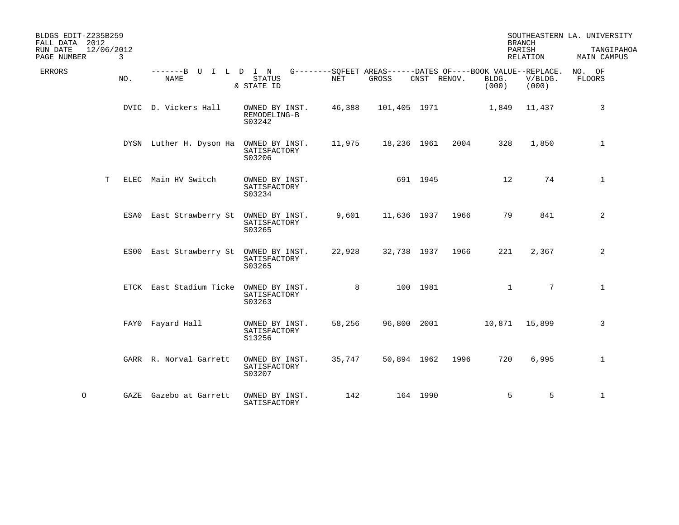| BLDGS EDIT-Z235B259<br>FALL DATA 2012<br>RUN DATE<br>12/06/2012<br>$\mathbf{3}$<br>PAGE NUMBER |                                        |                                          |        |                                                                      |             |      | PARISH         | <b>BRANCH</b><br>RELATION | SOUTHEASTERN LA. UNIVERSITY<br>TANGIPAHOA<br>MAIN CAMPUS |
|------------------------------------------------------------------------------------------------|----------------------------------------|------------------------------------------|--------|----------------------------------------------------------------------|-------------|------|----------------|---------------------------|----------------------------------------------------------|
| <b>ERRORS</b><br>NO.                                                                           | -------B U I L D I N<br>NAME           | <b>STATUS</b><br>& STATE ID              | NET    | G--------SQFEET AREAS------DATES OF----BOOK VALUE--REPLACE.<br>GROSS | CNST RENOV. |      | BLDG.<br>(000) | V/BLDG.<br>(000)          | NO. OF<br>FLOORS                                         |
|                                                                                                | DVIC D. Vickers Hall                   | OWNED BY INST.<br>REMODELING-B<br>S03242 | 46,388 | 101,405 1971                                                         |             |      | 1,849          | 11,437                    | 3                                                        |
|                                                                                                | DYSN Luther H. Dyson Ha OWNED BY INST. | SATISFACTORY<br>S03206                   | 11,975 | 18,236 1961                                                          |             | 2004 | 328            | 1,850                     | $\mathbf{1}$                                             |
| T                                                                                              | ELEC Main HV Switch                    | OWNED BY INST.<br>SATISFACTORY<br>S03234 |        |                                                                      | 691 1945    |      | 12             | 74                        | $\mathbf{1}$                                             |
|                                                                                                | ESA0 East Strawberry St OWNED BY INST. | SATISFACTORY<br>S03265                   | 9,601  | 11,636 1937                                                          |             | 1966 | 79             | 841                       | 2                                                        |
|                                                                                                | ES00 East Strawberry St OWNED BY INST. | SATISFACTORY<br>S03265                   | 22,928 | 32,738 1937                                                          |             | 1966 | 221            | 2,367                     | 2                                                        |
|                                                                                                | ETCK East Stadium Ticke                | OWNED BY INST.<br>SATISFACTORY<br>S03263 | 8      |                                                                      | 100 1981    |      | $\mathbf{1}$   | $7\overline{ }$           | 1                                                        |
|                                                                                                | FAYO Fayard Hall                       | OWNED BY INST.<br>SATISFACTORY<br>S13256 | 58,256 | 96,800 2001                                                          |             |      |                | 10,871 15,899             | 3                                                        |
|                                                                                                | GARR R. Norval Garrett                 | OWNED BY INST.<br>SATISFACTORY<br>S03207 | 35,747 | 50,894 1962                                                          |             | 1996 | 720            | 6,995                     | $\mathbf{1}$                                             |
| $\circ$                                                                                        | GAZE Gazebo at Garrett                 | OWNED BY INST.<br>SATISFACTORY           | 142    |                                                                      | 164 1990    |      | 5              | 5                         | $\mathbf{1}$                                             |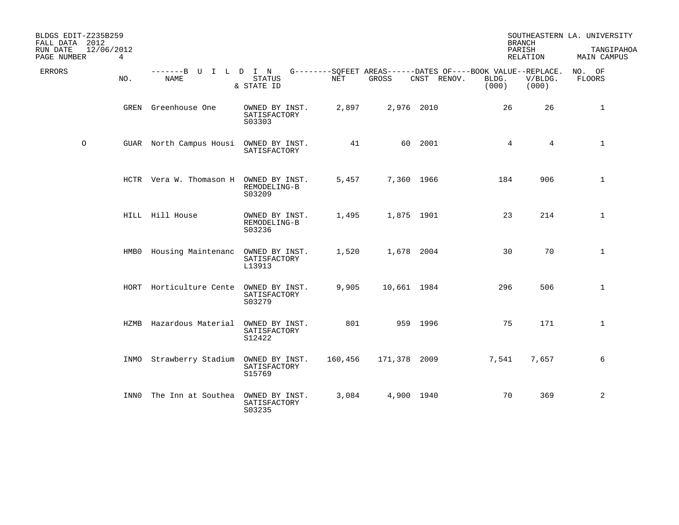| BLDGS EDIT-Z235B259<br>FALL DATA 2012 |      |                                        |                                          |         |              |                                                                            | <b>BRANCH</b>   |                  | SOUTHEASTERN LA. UNIVERSITY |
|---------------------------------------|------|----------------------------------------|------------------------------------------|---------|--------------|----------------------------------------------------------------------------|-----------------|------------------|-----------------------------|
| 12/06/2012<br>RUN DATE<br>PAGE NUMBER | 4    |                                        |                                          |         |              |                                                                            | PARISH          | RELATION         | TANGIPAHOA<br>MAIN CAMPUS   |
| ERRORS                                | NO.  | -------B U I L D I N<br>NAME           | <b>STATUS</b><br>& STATE ID              | NET     | GROSS        | G--------SQFEET AREAS------DATES OF----BOOK VALUE--REPLACE.<br>CNST RENOV. | BLDG.<br>(000)  | V/BLDG.<br>(000) | NO. OF<br>FLOORS            |
|                                       | GREN | Greenhouse One                         | OWNED BY INST.<br>SATISFACTORY<br>S03303 | 2,897   | 2,976 2010   |                                                                            | 26              | 26               | $\mathbf{1}$                |
| $\circ$                               |      | GUAR North Campus Housi OWNED BY INST. | SATISFACTORY                             | 41      |              | 60 2001                                                                    | $4\overline{ }$ | $\overline{4}$   | $\mathbf{1}$                |
|                                       |      | HCTR Vera W. Thomason H OWNED BY INST. | REMODELING-B<br>S03209                   | 5,457   | 7,360 1966   |                                                                            | 184             | 906              | $\mathbf{1}$                |
|                                       |      | HILL Hill House                        | OWNED BY INST.<br>REMODELING-B<br>S03236 | 1,495   | 1,875 1901   |                                                                            | 23              | 214              | $\mathbf{1}$                |
|                                       |      | HMB0 Housing Maintenanc                | OWNED BY INST.<br>SATISFACTORY<br>L13913 | 1,520   | 1,678 2004   |                                                                            | 30              | 70               | $\mathbf{1}$                |
|                                       |      | HORT Horticulture Cente                | OWNED BY INST.<br>SATISFACTORY<br>S03279 | 9,905   | 10,661 1984  |                                                                            | 296             | 506              | $\mathbf{1}$                |
|                                       | HZMB | Hazardous Material                     | OWNED BY INST.<br>SATISFACTORY<br>S12422 | 801     |              | 959 1996                                                                   | 75              | 171              | $\mathbf{1}$                |
|                                       | INMO | Strawberry Stadium OWNED BY INST.      | SATISFACTORY<br>S15769                   | 160,456 | 171,378 2009 |                                                                            | 7,541           | 7,657            | 6                           |
|                                       | INN0 | The Inn at Southea                     | OWNED BY INST.<br>SATISFACTORY<br>S03235 | 3,084   | 4,900 1940   |                                                                            | 70              | 369              | 2                           |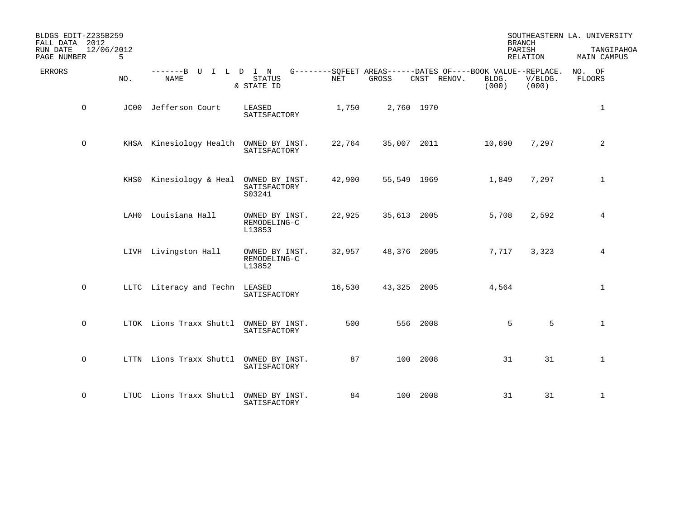| BLDGS EDIT-Z235B259<br>FALL DATA 2012<br>12/06/2012<br>RUN DATE<br>PAGE NUMBER | 5   |                                        |                                          |        |             |                                                                            | <b>BRANCH</b><br>PARISH | RELATION         | SOUTHEASTERN LA. UNIVERSITY<br>TANGIPAHOA<br>MAIN CAMPUS |
|--------------------------------------------------------------------------------|-----|----------------------------------------|------------------------------------------|--------|-------------|----------------------------------------------------------------------------|-------------------------|------------------|----------------------------------------------------------|
| <b>ERRORS</b>                                                                  | NO. | -------B U I L D I N<br><b>NAME</b>    | <b>STATUS</b><br>& STATE ID              | NET    | GROSS       | G--------SQFEET AREAS------DATES OF----BOOK VALUE--REPLACE.<br>CNST RENOV. | BLDG.<br>(000)          | V/BLDG.<br>(000) | NO. OF<br>FLOORS                                         |
| $\circ$                                                                        |     | JC00 Jefferson Court                   | LEASED<br>SATISFACTORY                   | 1,750  | 2,760 1970  |                                                                            |                         |                  | $\mathbf{1}$                                             |
| $\circ$                                                                        |     | KHSA Kinesiology Health OWNED BY INST. | SATISFACTORY                             | 22,764 | 35,007 2011 |                                                                            | 10,690                  | 7,297            | $\overline{\mathbf{c}}$                                  |
|                                                                                |     | KHSO Kinesiology & Heal                | OWNED BY INST.<br>SATISFACTORY<br>S03241 | 42,900 | 55,549 1969 |                                                                            | 1,849                   | 7,297            | 1                                                        |
|                                                                                |     | LAH0 Louisiana Hall                    | OWNED BY INST.<br>REMODELING-C<br>L13853 | 22,925 | 35,613 2005 |                                                                            | 5,708                   | 2,592            | 4                                                        |
|                                                                                |     | LIVH Livingston Hall                   | OWNED BY INST.<br>REMODELING-C<br>L13852 | 32,957 | 48,376 2005 |                                                                            | 7,717                   | 3,323            | 4                                                        |
| $\circ$                                                                        |     | LLTC Literacy and Techn LEASED         | SATISFACTORY                             | 16,530 | 43,325 2005 |                                                                            | 4,564                   |                  | $\mathbf{1}$                                             |
| $\circ$                                                                        |     | LTOK Lions Traxx Shuttl                | OWNED BY INST.<br>SATISFACTORY           | 500    |             | 556 2008                                                                   | 5                       | 5                | $\mathbf{1}$                                             |
| $\circ$                                                                        |     | LTTN Lions Traxx Shuttl                | OWNED BY INST.<br>SATISFACTORY           | 87     |             | 100 2008                                                                   | 31                      | 31               | $\mathbf{1}$                                             |
| $\circ$                                                                        |     | LTUC Lions Traxx Shuttl                | OWNED BY INST.<br>SATISFACTORY           | 84     |             | 100 2008                                                                   | 31                      | 31               | 1                                                        |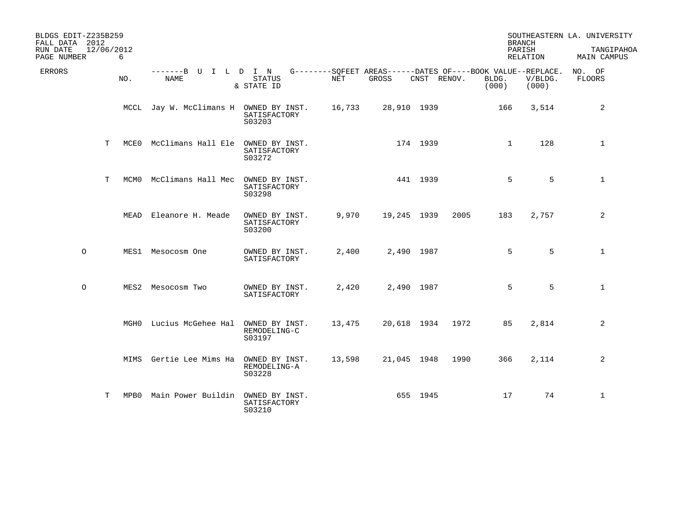| BLDGS EDIT-Z235B259<br>FALL DATA 2012 |            |      |                                        |                                          |            |             |             |      | <b>BRANCH</b>                                                                 |                  | SOUTHEASTERN LA. UNIVERSITY      |
|---------------------------------------|------------|------|----------------------------------------|------------------------------------------|------------|-------------|-------------|------|-------------------------------------------------------------------------------|------------------|----------------------------------|
| RUN DATE<br>PAGE NUMBER               | 12/06/2012 | 6    |                                        |                                          |            |             |             |      | PARISH                                                                        | RELATION         | TANGIPAHOA<br><b>MAIN CAMPUS</b> |
| <b>ERRORS</b>                         |            | NO.  | -------B U I L D I N<br>NAME           | <b>STATUS</b><br>& STATE ID              | <b>NET</b> | GROSS       | CNST RENOV. |      | G--------SOFEET AREAS------DATES OF----BOOK VALUE--REPLACE.<br>BLDG.<br>(000) | V/BLDG.<br>(000) | NO. OF<br><b>FLOORS</b>          |
|                                       |            |      | MCCL Jay W. McClimans H OWNED BY INST. | SATISFACTORY<br>S03203                   | 16,733     |             | 28,910 1939 |      | 166                                                                           | 3,514            | 2                                |
|                                       | Т          | MCE0 | McClimans Hall Ele OWNED BY INST.      | SATISFACTORY<br>S03272                   |            |             | 174 1939    |      | $\mathbf{1}$                                                                  | 128              | $\mathbf{1}$                     |
|                                       | T          | MCM0 | McClimans Hall Mec                     | OWNED BY INST.<br>SATISFACTORY<br>S03298 |            |             | 441 1939    |      | 5                                                                             | 5                | $\mathbf{1}$                     |
|                                       |            |      | MEAD Eleanore H. Meade                 | OWNED BY INST.<br>SATISFACTORY<br>S03200 | 9,970      | 19,245 1939 |             | 2005 | 183                                                                           | 2,757            | 2                                |
| $\circ$                               |            |      | MES1 Mesocosm One                      | OWNED BY INST.<br>SATISFACTORY           | 2,400      |             | 2,490 1987  |      | 5                                                                             | 5                | 1                                |
| $\circ$                               |            |      | MES2 Mesocosm Two                      | OWNED BY INST.<br>SATISFACTORY           | 2,420      |             | 2,490 1987  |      | 5                                                                             | 5                | $\mathbf{1}$                     |
|                                       |            |      | MGHO Lucius McGehee Hal                | OWNED BY INST.<br>REMODELING-C<br>S03197 | 13,475     | 20,618 1934 |             | 1972 | 85                                                                            | 2,814            | 2                                |
|                                       |            |      | MIMS Gertie Lee Mims Ha                | OWNED BY INST.<br>REMODELING-A<br>S03228 | 13,598     | 21,045 1948 |             | 1990 | 366                                                                           | 2,114            | 2                                |
|                                       | Т          | MPB0 | Main Power Buildin OWNED BY INST.      | SATISFACTORY<br>S03210                   |            |             | 655 1945    |      | 17                                                                            | 74               | $\mathbf{1}$                     |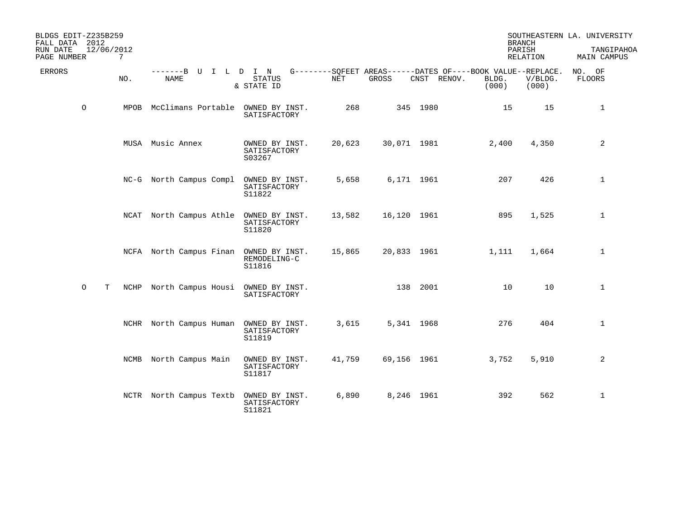| BLDGS EDIT-Z235B259<br>FALL DATA 2012<br>RUN DATE | 12/06/2012 |                                        |                                          |        |             |                                                                            | <b>BRANCH</b><br>PARISH |                  | SOUTHEASTERN LA. UNIVERSITY<br>TANGIPAHOA |
|---------------------------------------------------|------------|----------------------------------------|------------------------------------------|--------|-------------|----------------------------------------------------------------------------|-------------------------|------------------|-------------------------------------------|
| PAGE NUMBER                                       | 7          |                                        |                                          |        |             |                                                                            |                         | <b>RELATION</b>  | MAIN CAMPUS                               |
| <b>ERRORS</b>                                     | NO.        | -------B U I L D I N<br><b>NAME</b>    | <b>STATUS</b><br>& STATE ID              | NET    | GROSS       | G--------SQFEET AREAS------DATES OF----BOOK VALUE--REPLACE.<br>CNST RENOV. | BLDG.<br>(000)          | V/BLDG.<br>(000) | NO. OF<br>FLOORS                          |
| $\circ$                                           | MPOB       | McClimans Portable OWNED BY INST.      | SATISFACTORY                             | 268    |             | 345 1980                                                                   | 15                      | 15               | 1                                         |
|                                                   |            | MUSA Music Annex                       | OWNED BY INST.<br>SATISFACTORY<br>S03267 | 20,623 | 30,071 1981 |                                                                            | 2,400                   | 4,350            | 2                                         |
|                                                   |            | NC-G North Campus Compl OWNED BY INST. | SATISFACTORY<br>S11822                   | 5,658  | 6,171 1961  |                                                                            | 207                     | 426              | $\mathbf{1}$                              |
|                                                   |            | NCAT North Campus Athle OWNED BY INST. | SATISFACTORY<br>S11820                   | 13,582 | 16,120 1961 |                                                                            | 895                     | 1,525            | $\mathbf{1}$                              |
|                                                   |            | NCFA North Campus Finan OWNED BY INST. | REMODELING-C<br>S11816                   | 15,865 | 20,833 1961 |                                                                            | 1,111                   | 1,664            | $\mathbf{1}$                              |
| $\circ$<br>T                                      | NCHP       | North Campus Housi OWNED BY INST.      | SATISFACTORY                             |        |             | 138 2001                                                                   | 10                      | 10               | 1                                         |
|                                                   |            | NCHR North Campus Human OWNED BY INST. | SATISFACTORY<br>S11819                   | 3,615  | 5,341 1968  |                                                                            | 276                     | 404              | $\mathbf{1}$                              |
|                                                   |            | NCMB North Campus Main                 | OWNED BY INST.<br>SATISFACTORY<br>S11817 | 41,759 | 69,156 1961 |                                                                            | 3,752                   | 5,910            | $\overline{a}$                            |
|                                                   |            | NCTR North Campus Textb                | OWNED BY INST.<br>SATISFACTORY<br>S11821 | 6,890  | 8,246 1961  |                                                                            | 392                     | 562              | $\mathbf{1}$                              |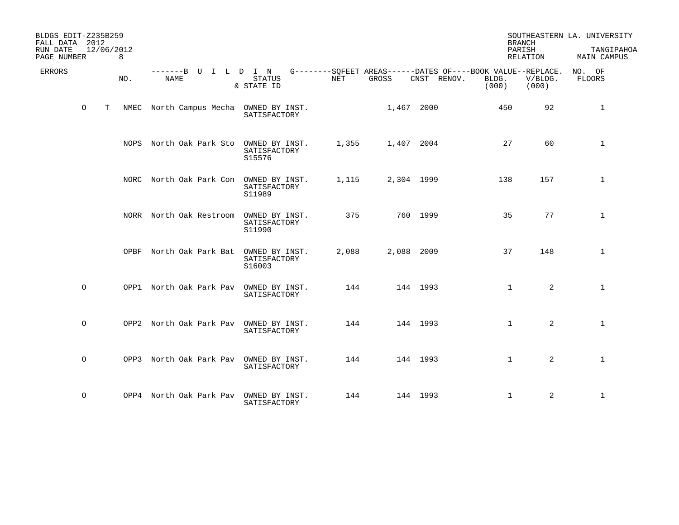| BLDGS EDIT-Z235B259<br>FALL DATA 2012<br>12/06/2012<br>RUN DATE<br>PAGE NUMBER<br>8 |                                        |                                                   |                                                                                     | <b>BRANCH</b><br>PARISH<br>RELATION | SOUTHEASTERN LA. UNIVERSITY<br>TANGIPAHOA<br>MAIN CAMPUS |
|-------------------------------------------------------------------------------------|----------------------------------------|---------------------------------------------------|-------------------------------------------------------------------------------------|-------------------------------------|----------------------------------------------------------|
| <b>ERRORS</b><br>NO.                                                                | -------B U I L D I N<br><b>NAME</b>    | <b>STATUS</b><br>NET<br>& STATE ID                | G--------SQFEET AREAS------DATES OF----BOOK VALUE--REPLACE.<br>GROSS<br>CNST RENOV. | BLDG.<br>V/BLDG.<br>(000)<br>(000)  | NO. OF<br><b>FLOORS</b>                                  |
| $\circ$<br>T<br>NMEC                                                                | North Campus Mecha OWNED BY INST.      | SATISFACTORY                                      | 1,467 2000                                                                          | 92<br>450                           | $\mathbf{1}$                                             |
|                                                                                     | NOPS North Oak Park Sto                | 1,355<br>OWNED BY INST.<br>SATISFACTORY<br>S15576 | 1,407 2004                                                                          | 27<br>60                            | $\mathbf{1}$                                             |
|                                                                                     | NORC North Oak Park Con                | OWNED BY INST.<br>1,115<br>SATISFACTORY<br>S11989 | 2,304 1999                                                                          | 157<br>138                          | $\mathbf{1}$                                             |
|                                                                                     | NORR North Oak Restroom                | 375<br>OWNED BY INST.<br>SATISFACTORY<br>S11990   | 760 1999                                                                            | 35<br>77                            | $\mathbf{1}$                                             |
|                                                                                     | OPBF North Oak Park Bat                | 2,088<br>OWNED BY INST.<br>SATISFACTORY<br>S16003 | 2,088 2009                                                                          | 37<br>148                           | $\mathbf{1}$                                             |
| $\circ$                                                                             | OPP1 North Oak Park Pav OWNED BY INST. | 144<br>SATISFACTORY                               | 144 1993                                                                            | 2<br>$\mathbf{1}$                   | $\mathbf{1}$                                             |
| $\circ$<br>OPP2                                                                     | North Oak Park Pav OWNED BY INST.      | 144<br>SATISFACTORY                               | 144 1993                                                                            | $\mathbf{1}$<br>2                   | $\mathbf{1}$                                             |
| $\circ$                                                                             | OPP3 North Oak Park Pav OWNED BY INST. | 144<br>SATISFACTORY                               | 144 1993                                                                            | 2<br>$\mathbf{1}$                   | $\mathbf{1}$                                             |
| $\circ$                                                                             | OPP4 North Oak Park Pav OWNED BY INST. | 144<br>SATISFACTORY                               | 144 1993                                                                            | 2<br>$\mathbf{1}$                   | $\mathbf{1}$                                             |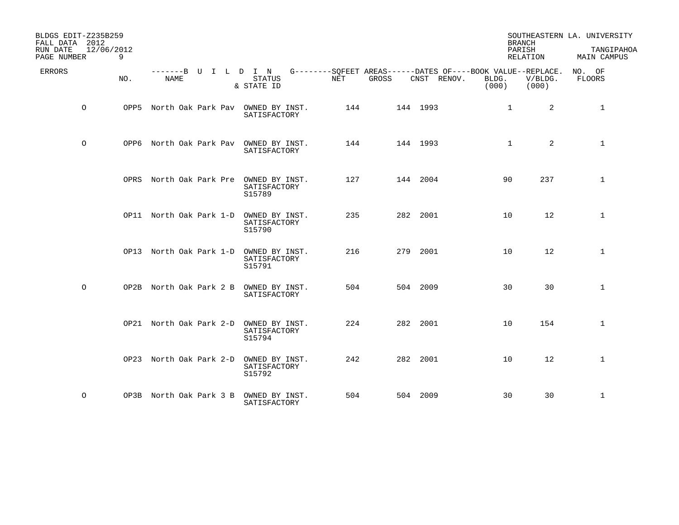| BLDGS EDIT-Z235B259<br>FALL DATA 2012<br>RUN DATE<br>PAGE NUMBER | 12/06/2012<br>9 |                         |                                                                  |            |          |                                                                                              | <b>BRANCH</b><br>PARISH<br>RELATION | SOUTHEASTERN LA. UNIVERSITY<br>TANGIPAHOA<br><b>MAIN CAMPUS</b> |
|------------------------------------------------------------------|-----------------|-------------------------|------------------------------------------------------------------|------------|----------|----------------------------------------------------------------------------------------------|-------------------------------------|-----------------------------------------------------------------|
| <b>ERRORS</b>                                                    | NO.             | <b>NAME</b>             | -------B U I L D I N<br><b>STATUS</b><br>& STATE ID              | <b>NET</b> | GROSS    | G--------SQFEET AREAS------DATES OF----BOOK VALUE--REPLACE.<br>CNST RENOV.<br>BLDG.<br>(000) | V/BLDG.<br>(000)                    | NO. OF<br><b>FLOORS</b>                                         |
| $\circ$                                                          | OPP5            |                         | North Oak Park Pav OWNED BY INST.<br>SATISFACTORY                | 144        | 144 1993 | $\mathbf 1$                                                                                  | 2                                   | $\mathbf{1}$                                                    |
| $\circ$                                                          | OPP6            |                         | North Oak Park Pav OWNED BY INST.<br>SATISFACTORY                | 144        | 144 1993 | $\mathbf{1}$                                                                                 | 2                                   | $\mathbf{1}$                                                    |
|                                                                  |                 |                         | OPRS North Oak Park Pre OWNED BY INST.<br>SATISFACTORY<br>S15789 | 127        | 144 2004 | 90                                                                                           | 237                                 | $\mathbf{1}$                                                    |
|                                                                  |                 |                         | OP11 North Oak Park 1-D OWNED BY INST.<br>SATISFACTORY<br>S15790 | 235        | 282 2001 | 10                                                                                           | 12                                  | $\mathbf{1}$                                                    |
|                                                                  |                 |                         | OP13 North Oak Park 1-D OWNED BY INST.<br>SATISFACTORY<br>S15791 | 216        | 279 2001 | 10                                                                                           | 12                                  | $\mathbf{1}$                                                    |
| $\circ$                                                          |                 | OP2B North Oak Park 2 B | OWNED BY INST.<br>SATISFACTORY                                   | 504        | 504 2009 | 30                                                                                           | 30                                  | $\mathbf{1}$                                                    |
|                                                                  |                 |                         | OP21 North Oak Park 2-D OWNED BY INST.<br>SATISFACTORY<br>S15794 | 224        | 282 2001 | 10                                                                                           | 154                                 | $\mathbf{1}$                                                    |
|                                                                  |                 | OP23 North Oak Park 2-D | OWNED BY INST.<br>SATISFACTORY<br>S15792                         | 242        | 282 2001 | 10                                                                                           | 12                                  | $\mathbf{1}$                                                    |
| $\circ$                                                          |                 |                         | OP3B North Oak Park 3 B OWNED BY INST.<br>SATISFACTORY           | 504        | 504 2009 | 30                                                                                           | 30                                  | $\mathbf{1}$                                                    |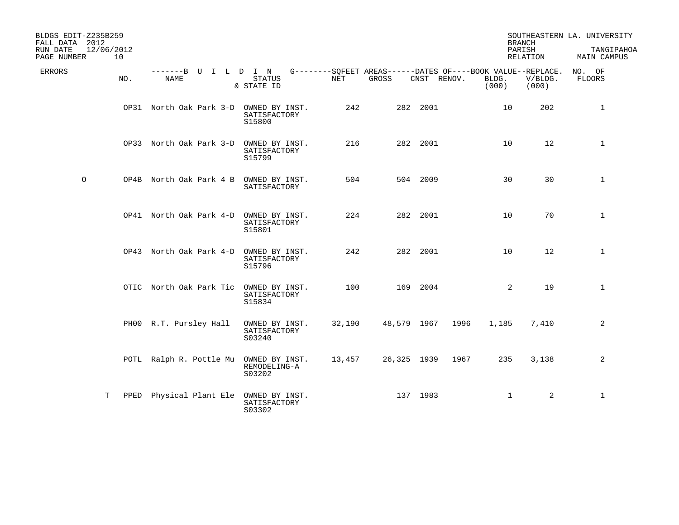| BLDGS EDIT-Z235B259<br>FALL DATA 2012<br>RUN DATE<br>PAGE NUMBER | 12/06/2012<br>10 |                                        |                                          |        |             |             |                                                                               | <b>BRANCH</b><br>PARISH<br>RELATION | SOUTHEASTERN LA. UNIVERSITY<br>TANGIPAHOA<br>MAIN CAMPUS |
|------------------------------------------------------------------|------------------|----------------------------------------|------------------------------------------|--------|-------------|-------------|-------------------------------------------------------------------------------|-------------------------------------|----------------------------------------------------------|
| ERRORS                                                           | NO.              | -------B U I L D I N<br>NAME           | STATUS<br>& STATE ID                     | NET    | GROSS       | CNST RENOV. | G--------SQFEET AREAS------DATES OF----BOOK VALUE--REPLACE.<br>BLDG.<br>(000) | V/BLDG.<br>(000)                    | NO. OF<br><b>FLOORS</b>                                  |
|                                                                  |                  | OP31 North Oak Park 3-D OWNED BY INST. | SATISFACTORY<br>S15800                   | 242    |             | 282 2001    | 10                                                                            | 202                                 | $\mathbf{1}$                                             |
|                                                                  |                  | OP33 North Oak Park 3-D OWNED BY INST. | SATISFACTORY<br>S15799                   | 216    |             | 282 2001    | 10                                                                            | 12                                  | $\mathbf{1}$                                             |
| $\circ$                                                          |                  | OP4B North Oak Park 4 B OWNED BY INST. | SATISFACTORY                             | 504    |             | 504 2009    | 30                                                                            | 30                                  | $\mathbf{1}$                                             |
|                                                                  |                  | OP41 North Oak Park 4-D OWNED BY INST. | SATISFACTORY<br>S15801                   | 224    |             | 282 2001    | 10                                                                            | 70                                  | $\mathbf{1}$                                             |
|                                                                  |                  | OP43 North Oak Park 4-D OWNED BY INST. | SATISFACTORY<br>S15796                   | 242    |             | 282 2001    | 10                                                                            | 12                                  | $\mathbf{1}$                                             |
|                                                                  |                  | OTIC North Oak Park Tic                | OWNED BY INST.<br>SATISFACTORY<br>S15834 | 100    |             | 169 2004    | 2                                                                             | 19                                  | $\mathbf{1}$                                             |
|                                                                  |                  | PH00 R.T. Pursley Hall                 | OWNED BY INST.<br>SATISFACTORY<br>S03240 | 32,190 | 48,579 1967 |             | 1996<br>1,185                                                                 | 7,410                               | 2                                                        |
|                                                                  |                  | POTL Ralph R. Pottle Mu OWNED BY INST. | REMODELING-A<br>S03202                   | 13,457 | 26,325 1939 |             | 235<br>1967                                                                   | 3,138                               | $\overline{2}$                                           |
|                                                                  | Т<br>PPED        | Physical Plant Ele OWNED BY INST.      | SATISFACTORY<br>S03302                   |        | 137 1983    |             | $\mathbf{1}$                                                                  | 2                                   | $\mathbf{1}$                                             |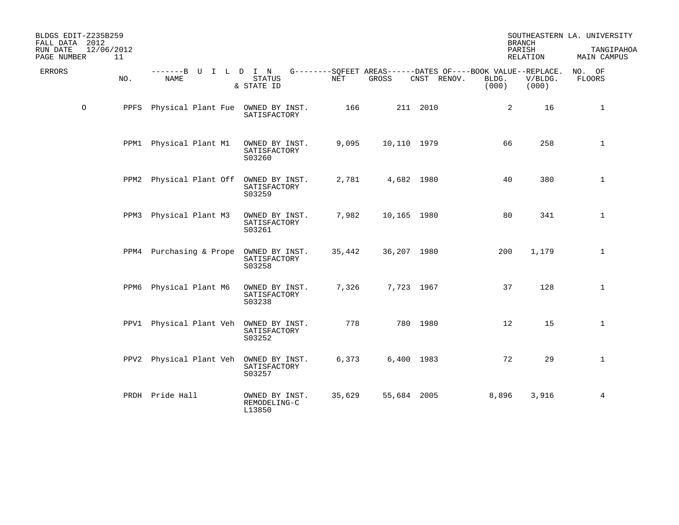| BLDGS EDIT-Z235B259<br>FALL DATA 2012<br>RUN DATE<br>PAGE NUMBER | 12/06/2012<br>11 |                                        |                                          |        |             |                                                                           |                | <b>BRANCH</b><br>PARISH<br>RELATION | SOUTHEASTERN LA. UNIVERSITY<br>TANGIPAHOA<br>MAIN CAMPUS |
|------------------------------------------------------------------|------------------|----------------------------------------|------------------------------------------|--------|-------------|---------------------------------------------------------------------------|----------------|-------------------------------------|----------------------------------------------------------|
| ERRORS                                                           | NO.              | -------B U I L D I N<br><b>NAME</b>    | <b>STATUS</b><br>& STATE ID              | NET    | GROSS       | $G------SOFEET AREAS------DATES OF---BOOK VALUE--REPLACE.$<br>CNST RENOV. | BLDG.<br>(000) | V/BLDG.<br>(000)                    | NO. OF<br><b>FLOORS</b>                                  |
| $\circ$                                                          | PPFS             | Physical Plant Fue OWNED BY INST.      | SATISFACTORY                             | 166    |             | 211 2010                                                                  | $\overline{2}$ | 16                                  | $\mathbf{1}$                                             |
|                                                                  |                  | PPM1 Physical Plant M1                 | OWNED BY INST.<br>SATISFACTORY<br>S03260 | 9,095  | 10,110 1979 |                                                                           | 66             | 258                                 | $\mathbf{1}$                                             |
|                                                                  | PPM2             | Physical Plant Off OWNED BY INST.      | SATISFACTORY<br>S03259                   | 2,781  | 4,682 1980  |                                                                           | 40             | 380                                 | $\mathbf{1}$                                             |
|                                                                  | PPM3             | Physical Plant M3                      | OWNED BY INST.<br>SATISFACTORY<br>S03261 | 7,982  | 10,165 1980 |                                                                           | 80             | 341                                 | $\mathbf{1}$                                             |
|                                                                  |                  | PPM4 Purchasing & Prope                | OWNED BY INST.<br>SATISFACTORY<br>S03258 | 35,442 | 36,207 1980 |                                                                           | 200            | 1,179                               | $\mathbf{1}$                                             |
|                                                                  | PPM6             | Physical Plant M6                      | OWNED BY INST.<br>SATISFACTORY<br>S03238 | 7,326  | 7,723 1967  |                                                                           | 37             | 128                                 | $\mathbf{1}$                                             |
|                                                                  |                  | PPV1 Physical Plant Veh                | OWNED BY INST.<br>SATISFACTORY<br>S03252 | 778    |             | 780 1980                                                                  | 12             | 15                                  | $\mathbf{1}$                                             |
|                                                                  |                  | PPV2 Physical Plant Veh OWNED BY INST. | SATISFACTORY<br>S03257                   | 6,373  | 6,400 1983  |                                                                           | 72             | 29                                  | $\mathbf{1}$                                             |
|                                                                  |                  | PRDH Pride Hall                        | OWNED BY INST.<br>REMODELING-C<br>L13850 | 35,629 | 55,684 2005 |                                                                           | 8,896          | 3,916                               | $\overline{4}$                                           |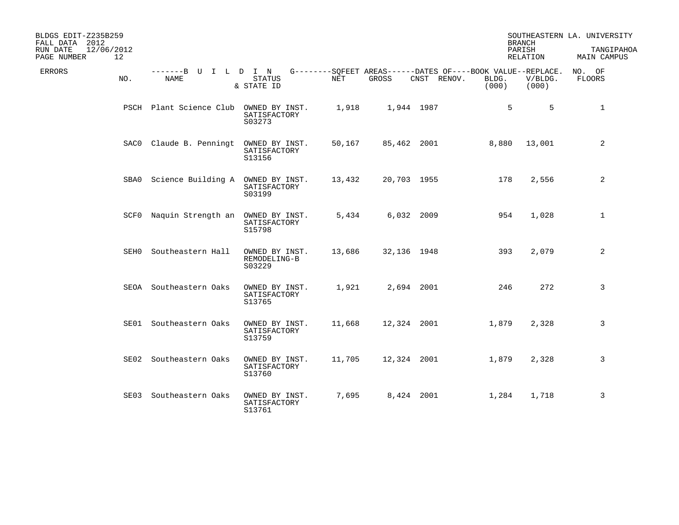| BLDGS EDIT-Z235B259<br>FALL DATA 2012<br>RUN DATE<br>12/06/2012<br>PAGE NUMBER | 12   |                                        |                                          |        |             |                                                                            |                | <b>BRANCH</b><br>PARISH<br>RELATION | SOUTHEASTERN LA. UNIVERSITY<br>TANGIPAHOA<br>MAIN CAMPUS |
|--------------------------------------------------------------------------------|------|----------------------------------------|------------------------------------------|--------|-------------|----------------------------------------------------------------------------|----------------|-------------------------------------|----------------------------------------------------------|
| ERRORS                                                                         | NO.  | -------B U I L D I N<br>NAME           | STATUS<br>& STATE ID                     | NET    | GROSS       | G--------SQFEET AREAS------DATES OF----BOOK VALUE--REPLACE.<br>CNST RENOV. | BLDG.<br>(000) | V/BLDG.<br>(000)                    | NO. OF<br>FLOORS                                         |
|                                                                                |      | PSCH Plant Science Club OWNED BY INST. | SATISFACTORY<br>S03273                   | 1,918  |             | 1,944 1987                                                                 | 5              | 5                                   | $\mathbf{1}$                                             |
|                                                                                |      | SACO Claude B. Penningt                | OWNED BY INST.<br>SATISFACTORY<br>S13156 | 50,167 | 85,462 2001 |                                                                            | 8,880          | 13,001                              | 2                                                        |
|                                                                                | SBA0 | Science Building A OWNED BY INST.      | SATISFACTORY<br>S03199                   | 13,432 | 20,703 1955 |                                                                            | 178            | 2,556                               | 2                                                        |
|                                                                                |      | SCF0 Naquin Strength an OWNED BY INST. | SATISFACTORY<br>S15798                   | 5,434  |             | 6,032 2009                                                                 | 954            | 1,028                               | 1                                                        |
|                                                                                | SEH0 | Southeastern Hall                      | OWNED BY INST.<br>REMODELING-B<br>S03229 | 13,686 | 32,136 1948 |                                                                            | 393            | 2,079                               | 2                                                        |
|                                                                                |      | SEOA Southeastern Oaks                 | OWNED BY INST.<br>SATISFACTORY<br>S13765 | 1,921  |             | 2,694 2001                                                                 | 246            | 272                                 | 3                                                        |
|                                                                                |      | SE01 Southeastern Oaks                 | OWNED BY INST.<br>SATISFACTORY<br>S13759 | 11,668 | 12,324 2001 |                                                                            | 1,879          | 2,328                               | 3                                                        |
|                                                                                | SE02 | Southeastern Oaks                      | OWNED BY INST.<br>SATISFACTORY<br>S13760 | 11,705 | 12,324 2001 |                                                                            | 1,879          | 2,328                               | 3                                                        |
|                                                                                | SE03 | Southeastern Oaks                      | OWNED BY INST.<br>SATISFACTORY<br>S13761 | 7,695  |             | 8,424 2001                                                                 | 1,284          | 1,718                               | 3                                                        |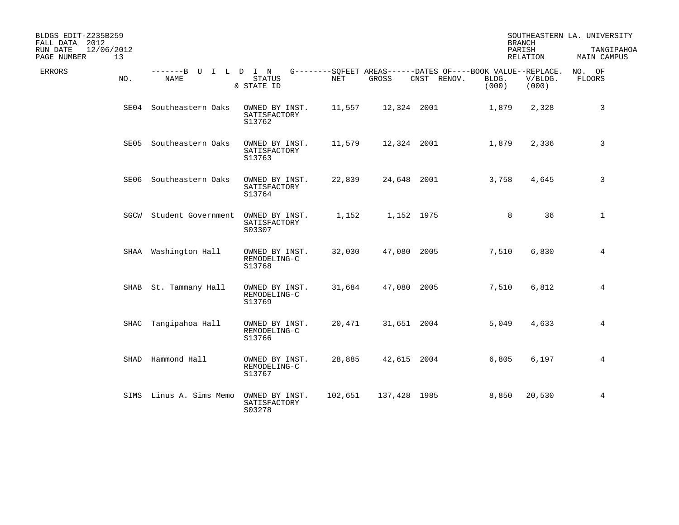| BLDGS EDIT-Z235B259<br>FALL DATA 2012<br>12/06/2012<br>RUN DATE<br>PAGE NUMBER<br>13 |                           |                                          |         |              |                                                                            |                | <b>BRANCH</b><br>PARISH<br>RELATION | SOUTHEASTERN LA. UNIVERSITY<br>TANGIPAHOA<br>MAIN CAMPUS |
|--------------------------------------------------------------------------------------|---------------------------|------------------------------------------|---------|--------------|----------------------------------------------------------------------------|----------------|-------------------------------------|----------------------------------------------------------|
| <b>ERRORS</b><br>NO.                                                                 | -------B U<br><b>NAME</b> | I L D I N<br>STATUS<br>& STATE ID        | NET     | GROSS        | G--------SQFEET AREAS------DATES OF----BOOK VALUE--REPLACE.<br>CNST RENOV. | BLDG.<br>(000) | V/BLDG.<br>(000)                    | NO. OF<br>FLOORS                                         |
| SE04                                                                                 | Southeastern Oaks         | OWNED BY INST.<br>SATISFACTORY<br>S13762 | 11,557  | 12,324 2001  |                                                                            | 1,879          | 2,328                               | 3                                                        |
| SE05                                                                                 | Southeastern Oaks         | OWNED BY INST.<br>SATISFACTORY<br>S13763 | 11,579  | 12,324 2001  |                                                                            | 1,879          | 2,336                               | 3                                                        |
| SE06                                                                                 | Southeastern Oaks         | OWNED BY INST.<br>SATISFACTORY<br>S13764 | 22,839  | 24,648 2001  |                                                                            | 3,758          | 4,645                               | 3                                                        |
| SGCW                                                                                 | Student Government        | OWNED BY INST.<br>SATISFACTORY<br>S03307 | 1,152   |              | 1,152 1975                                                                 | 8              | 36                                  | $\mathbf{1}$                                             |
|                                                                                      | SHAA Washington Hall      | OWNED BY INST.<br>REMODELING-C<br>S13768 | 32,030  | 47,080 2005  |                                                                            | 7,510          | 6,830                               | 4                                                        |
| SHAB                                                                                 | St. Tammany Hall          | OWNED BY INST.<br>REMODELING-C<br>S13769 | 31,684  | 47,080 2005  |                                                                            | 7,510          | 6,812                               | 4                                                        |
| SHAC                                                                                 | Tangipahoa Hall           | OWNED BY INST.<br>REMODELING-C<br>S13766 | 20,471  | 31,651 2004  |                                                                            | 5,049          | 4,633                               | 4                                                        |
|                                                                                      | SHAD Hammond Hall         | OWNED BY INST.<br>REMODELING-C<br>S13767 | 28,885  | 42,615 2004  |                                                                            | 6,805          | 6,197                               | 4                                                        |
|                                                                                      | SIMS Linus A. Sims Memo   | OWNED BY INST.<br>SATISFACTORY<br>S03278 | 102,651 | 137,428 1985 |                                                                            | 8,850          | 20,530                              | 4                                                        |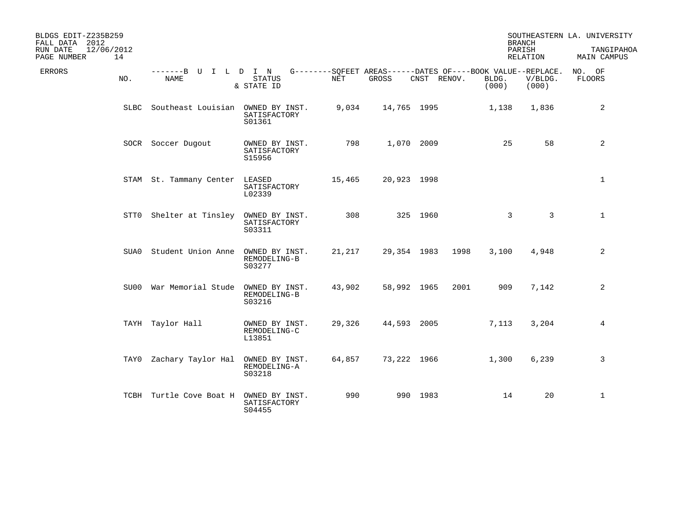| BLDGS EDIT-Z235B259<br>FALL DATA 2012<br>RUN DATE<br>12/06/2012 |      |                                        |                                          |        |             |             |      | <b>BRANCH</b><br>PARISH                                                       |                  | SOUTHEASTERN LA. UNIVERSITY<br>TANGIPAHOA |
|-----------------------------------------------------------------|------|----------------------------------------|------------------------------------------|--------|-------------|-------------|------|-------------------------------------------------------------------------------|------------------|-------------------------------------------|
| PAGE NUMBER                                                     | 14   |                                        |                                          |        |             |             |      |                                                                               | RELATION         | MAIN CAMPUS                               |
| ERRORS                                                          | NO.  | -------B U I L D I N<br>NAME           | STATUS<br>& STATE ID                     | NET    | GROSS       | CNST RENOV. |      | G--------SQFEET AREAS------DATES OF----BOOK VALUE--REPLACE.<br>BLDG.<br>(000) | V/BLDG.<br>(000) | NO. OF<br><b>FLOORS</b>                   |
|                                                                 |      | SLBC Southeast Louisian OWNED BY INST. | SATISFACTORY<br>S01361                   | 9,034  | 14,765 1995 |             |      | 1,138                                                                         | 1,836            | $\overline{2}$                            |
|                                                                 |      | SOCR Soccer Dugout                     | OWNED BY INST.<br>SATISFACTORY<br>S15956 | 798    |             | 1,070 2009  |      | 25                                                                            | 58               | $\overline{a}$                            |
|                                                                 |      | STAM St. Tammany Center LEASED         | SATISFACTORY<br>L02339                   | 15,465 | 20,923 1998 |             |      |                                                                               |                  | $\mathbf{1}$                              |
|                                                                 |      | STTO Shelter at Tinsley OWNED BY INST. | SATISFACTORY<br>S03311                   | 308    |             | 325 1960    |      | $\mathbf{3}$                                                                  | $\overline{3}$   | $\mathbf{1}$                              |
|                                                                 | SUA0 | Student Union Anne OWNED BY INST.      | REMODELING-B<br>S03277                   | 21,217 |             | 29,354 1983 | 1998 | 3,100                                                                         | 4,948            | 2                                         |
|                                                                 |      | SU00 War Memorial Stude                | OWNED BY INST.<br>REMODELING-B<br>S03216 | 43,902 |             | 58,992 1965 | 2001 | 909                                                                           | 7,142            | 2                                         |
|                                                                 |      | TAYH Taylor Hall                       | OWNED BY INST.<br>REMODELING-C<br>L13851 | 29,326 | 44,593 2005 |             |      | 7,113                                                                         | 3,204            | 4                                         |
|                                                                 | TAY0 | Zachary Taylor Hal OWNED BY INST.      | REMODELING-A<br>S03218                   | 64,857 |             | 73,222 1966 |      | 1,300                                                                         | 6,239            | 3                                         |
|                                                                 |      | TCBH Turtle Cove Boat H OWNED BY INST. | SATISFACTORY<br>S04455                   | 990    |             | 990 1983    |      | 14                                                                            | 20               | $\mathbf{1}$                              |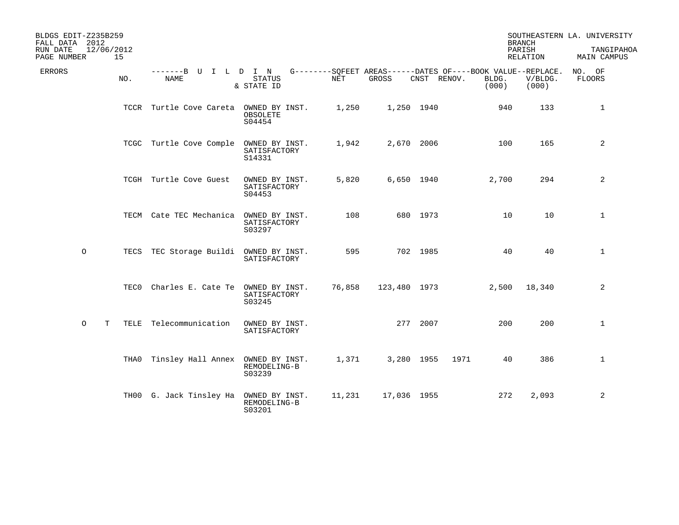| BLDGS EDIT-Z235B259<br>FALL DATA 2012<br>RUN DATE<br>PAGE NUMBER | 12/06/2012<br>15 |                                        |                                          |        |              |             |                                                                               | <b>BRANCH</b><br>PARISH<br>RELATION | SOUTHEASTERN LA. UNIVERSITY<br>TANGIPAHOA<br>MAIN CAMPUS |
|------------------------------------------------------------------|------------------|----------------------------------------|------------------------------------------|--------|--------------|-------------|-------------------------------------------------------------------------------|-------------------------------------|----------------------------------------------------------|
| <b>ERRORS</b>                                                    | NO.              | -------B U I L D I N<br><b>NAME</b>    | <b>STATUS</b><br>& STATE ID              | NET    | GROSS        | CNST RENOV. | G--------SOFEET AREAS------DATES OF----BOOK VALUE--REPLACE.<br>BLDG.<br>(000) | V/BLDG.<br>(000)                    | NO. OF<br><b>FLOORS</b>                                  |
|                                                                  |                  | TCCR Turtle Cove Careta OWNED BY INST. | OBSOLETE<br>S04454                       | 1,250  | 1,250 1940   |             | 940                                                                           | 133                                 | $\mathbf{1}$                                             |
|                                                                  |                  | TCGC Turtle Cove Comple                | OWNED BY INST.<br>SATISFACTORY<br>S14331 | 1,942  | 2,670 2006   |             | 100                                                                           | 165                                 | $\overline{a}$                                           |
|                                                                  |                  | TCGH Turtle Cove Guest                 | OWNED BY INST.<br>SATISFACTORY<br>S04453 | 5,820  | 6,650 1940   |             | 2,700                                                                         | 294                                 | $\overline{a}$                                           |
|                                                                  |                  | TECM Cate TEC Mechanica OWNED BY INST. | SATISFACTORY<br>S03297                   | 108    |              | 680 1973    | 10                                                                            | 10                                  | $\mathbf{1}$                                             |
| $\circ$                                                          | TECS             | TEC Storage Buildi OWNED BY INST.      | SATISFACTORY                             | 595    |              | 702 1985    | 40                                                                            | 40                                  | $\mathbf{1}$                                             |
|                                                                  | TEC0             | Charles E. Cate Te OWNED BY INST.      | SATISFACTORY<br>S03245                   | 76,858 | 123,480 1973 |             | 2,500                                                                         | 18,340                              | 2                                                        |
| $\circ$<br>Т                                                     | TELE             | Telecommunication                      | OWNED BY INST.<br>SATISFACTORY           |        |              | 277 2007    | 200                                                                           | 200                                 | $\mathbf{1}$                                             |
|                                                                  | THA0             | Tinsley Hall Annex OWNED BY INST.      | REMODELING-B<br>S03239                   | 1,371  | 3,280 1955   | 1971        | 40                                                                            | 386                                 | $\mathbf{1}$                                             |
|                                                                  |                  | TH00 G. Jack Tinsley Ha OWNED BY INST. | REMODELING-B<br>S03201                   | 11,231 | 17,036 1955  |             | 272                                                                           | 2,093                               | 2                                                        |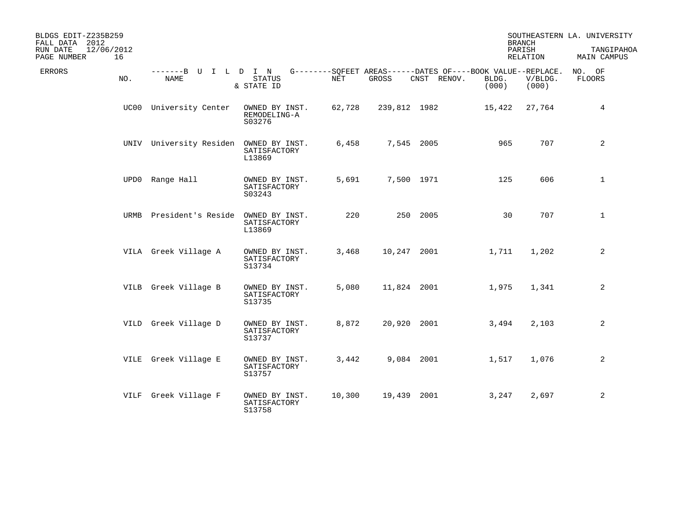| BLDGS EDIT-Z235B259<br>FALL DATA 2012<br>RUN DATE<br>PAGE NUMBER | 12/06/2012<br>16 |                                        |                                          |        |              |                                                                            |                | <b>BRANCH</b><br>PARISH<br>RELATION | SOUTHEASTERN LA. UNIVERSITY<br>TANGIPAHOA<br>MAIN CAMPUS |
|------------------------------------------------------------------|------------------|----------------------------------------|------------------------------------------|--------|--------------|----------------------------------------------------------------------------|----------------|-------------------------------------|----------------------------------------------------------|
| <b>ERRORS</b>                                                    | NO.              | -------B U I L D I N<br>NAME           | STATUS<br>& STATE ID                     | NET    | GROSS        | G--------SQFEET AREAS------DATES OF----BOOK VALUE--REPLACE.<br>CNST RENOV. | BLDG.<br>(000) | V/BLDG.<br>(000)                    | NO. OF<br>FLOORS                                         |
|                                                                  |                  | UC00 University Center                 | OWNED BY INST.<br>REMODELING-A<br>S03276 | 62,728 | 239,812 1982 |                                                                            | 15,422         | 27,764                              | 4                                                        |
|                                                                  |                  | UNIV University Residen OWNED BY INST. | SATISFACTORY<br>L13869                   | 6,458  |              | 7,545 2005                                                                 | 965            | 707                                 | 2                                                        |
|                                                                  |                  | UPD0 Range Hall                        | OWNED BY INST.<br>SATISFACTORY<br>S03243 | 5,691  |              | 7,500 1971                                                                 | 125            | 606                                 | $\mathbf{1}$                                             |
|                                                                  | URMB             | President's Reside                     | OWNED BY INST.<br>SATISFACTORY<br>L13869 | 220    |              | 250 2005                                                                   | 30             | 707                                 | $\mathbf{1}$                                             |
|                                                                  |                  | VILA Greek Village A                   | OWNED BY INST.<br>SATISFACTORY<br>S13734 | 3,468  |              | 10,247 2001                                                                | 1,711          | 1,202                               | 2                                                        |
|                                                                  |                  | VILB Greek Village B                   | OWNED BY INST.<br>SATISFACTORY<br>S13735 | 5,080  |              | 11,824 2001                                                                | 1,975          | 1,341                               | 2                                                        |
|                                                                  |                  | VILD Greek Village D                   | OWNED BY INST.<br>SATISFACTORY<br>S13737 | 8,872  |              | 20,920 2001                                                                | 3,494          | 2,103                               | 2                                                        |
|                                                                  |                  | VILE Greek Village E                   | OWNED BY INST.<br>SATISFACTORY<br>S13757 | 3,442  |              | 9,084 2001                                                                 | 1,517          | 1,076                               | $\overline{a}$                                           |
|                                                                  |                  | VILF Greek Village F                   | OWNED BY INST.<br>SATISFACTORY<br>S13758 | 10,300 |              | 19,439 2001                                                                | 3,247          | 2,697                               | $\overline{a}$                                           |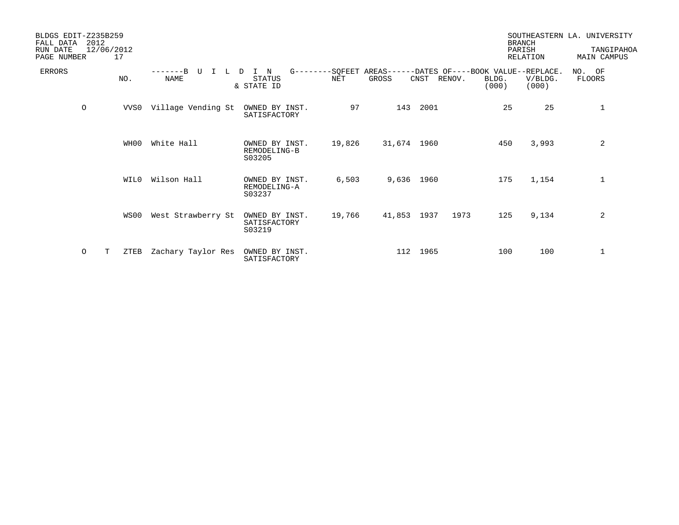| BLDGS EDIT-Z235B259<br>FALL DATA | 2012    |                  |                         |                                          |        |             |             |                                                                               | <b>BRANCH</b>             | SOUTHEASTERN LA. UNIVERSITY      |
|----------------------------------|---------|------------------|-------------------------|------------------------------------------|--------|-------------|-------------|-------------------------------------------------------------------------------|---------------------------|----------------------------------|
| RUN DATE<br>PAGE NUMBER          |         | 12/06/2012<br>17 |                         |                                          |        |             |             |                                                                               | PARISH<br><b>RELATION</b> | TANGIPAHOA<br><b>MAIN CAMPUS</b> |
| <b>ERRORS</b>                    |         | NO.              | -------B<br><b>NAME</b> | N<br>D<br>STATUS<br>& STATE ID           | NET    | GROSS       | CNST RENOV. | G--------SQFEET AREAS------DATES OF----BOOK VALUE--REPLACE.<br>BLDG.<br>(000) | V/BLDG.<br>(000)          | NO. OF<br>FLOORS                 |
|                                  | $\circ$ | VVS0             | Village Vending St      | OWNED BY INST.<br>SATISFACTORY           | 97     | 143         | 2001        | 25                                                                            | 25                        | $\mathbf{1}$                     |
|                                  |         | WH00             | White Hall              | OWNED BY INST.<br>REMODELING-B<br>S03205 | 19,826 | 31,674 1960 |             | 450                                                                           | 3,993                     | 2                                |
|                                  |         | WIL0             | Wilson Hall             | OWNED BY INST.<br>REMODELING-A<br>S03237 | 6,503  | 9,636 1960  |             | 175                                                                           | 1,154                     | $\mathbf{1}$                     |
|                                  |         | WS00             | West Strawberry St      | OWNED BY INST.<br>SATISFACTORY<br>S03219 | 19,766 | 41,853 1937 | 1973        | 125                                                                           | 9,134                     | 2                                |
|                                  | 0       | T<br>ZTEB        | Zachary Taylor Res      | OWNED BY INST.<br>SATISFACTORY           |        |             | 112 1965    | 100                                                                           | 100                       | 1                                |